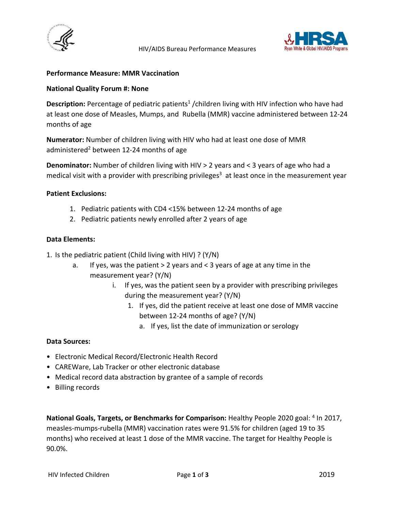



## **Performance Measure: MMR Vaccination**

#### **National Quality Forum #: None**

Description: Percentage of pediatric patients<sup>1</sup> /children living with HIV infection who have had at least one dose of Measles, Mumps, and Rubella (MMR) vaccine administered between 12-24 months of age

**Numerator:** Number of children living with HIV who had at least one dose of MMR administered<sup>2</sup> between 12-24 months of age

**Denominator:** Number of children living with HIV > 2 years and < 3 years of age who had a medical visit with a provider with prescribing privileges<sup>3</sup> at least once in the measurement year

#### **Patient Exclusions:**

- 1. Pediatric patients with CD4 <15% between 12-24 months of age
- 2. Pediatric patients newly enrolled after 2 years of age

#### **Data Elements:**

- 1. Is the pediatric patient (Child living with HIV) ? (Y/N)
	- a. If yes, was the patient > 2 years and < 3 years of age at any time in the measurement year? (Y/N)
		- i. If yes, was the patient seen by a provider with prescribing privileges during the measurement year? (Y/N)
			- 1. If yes, did the patient receive at least one dose of MMR vaccine between 12-24 months of age? (Y/N)
				- a. If yes, list the date of immunization or serology

#### **Data Sources:**

- Electronic Medical Record/Electronic Health Record
- CAREWare, Lab Tracker or other electronic database
- Medical record data abstraction by grantee of a sample of records
- Billing records

National Goals, Targets, or Benchmarks for Comparison: Healthy People 2020 goal: <sup>4</sup> In 2017, measles-mumps-rubella (MMR) vaccination rates were 91.5% for children (aged 19 to 35 months) who received at least 1 dose of the MMR vaccine. The target for Healthy People is 90.0%.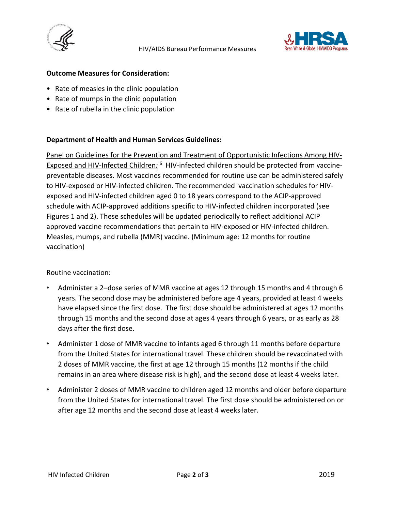



## **Outcome Measures for Consideration:**

- Rate of measles in the clinic population
- Rate of mumps in the clinic population
- Rate of rubella in the clinic population

## **Department of Health and Human Services Guidelines:**

Panel on Guidelines for the Prevention and Treatment of Opportunistic Infections Among HIV-Exposed and HIV-Infected Children*:* 6 HIV-infected children should be protected from vaccinepreventable diseases. Most vaccines recommended for routine use can be administered safely to HIV-exposed or HIV-infected children. The recommended vaccination schedules for HIVexposed and HIV-infected children aged 0 to 18 years correspond to the ACIP-approved schedule with ACIP-approved additions specific to HIV-infected children incorporated (see Figures 1 and 2). These schedules will be updated periodically to reflect additional ACIP approved vaccine recommendations that pertain to HIV-exposed or HIV-infected children. Measles, mumps, and rubella (MMR) vaccine. (Minimum age: 12 months for routine vaccination)

Routine vaccination:

- Administer a 2–dose series of MMR vaccine at ages 12 through 15 months and 4 through 6 years. The second dose may be administered before age 4 years, provided at least 4 weeks have elapsed since the first dose. The first dose should be administered at ages 12 months through 15 months and the second dose at ages 4 years through 6 years, or as early as 28 days after the first dose.
- Administer 1 dose of MMR vaccine to infants aged 6 through 11 months before departure from the United States for international travel. These children should be revaccinated with 2 doses of MMR vaccine, the first at age 12 through 15 months (12 months if the child remains in an area where disease risk is high), and the second dose at least 4 weeks later.
- Administer 2 doses of MMR vaccine to children aged 12 months and older before departure from the United States for international travel. The first dose should be administered on or after age 12 months and the second dose at least 4 weeks later.